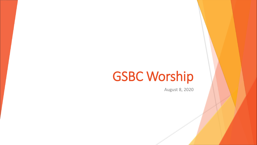# GSBC Worship

August 8, 2020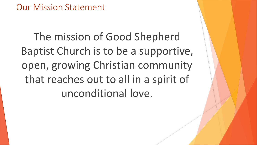Our Mission Statement

The mission of Good Shepherd Baptist Church is to be a supportive, open, growing Christian community that reaches out to all in a spirit of unconditional love.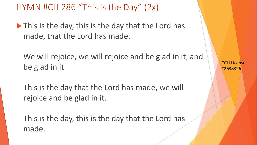HYMN #CH 286 "This is the Day" (2x)

 $\blacktriangleright$  This is the day, this is the day that the Lord has made, that the Lord has made.

We will rejoice, we will rejoice and be glad in it, and be glad in it.

This is the day that the Lord has made, we will rejoice and be glad in it.

This is the day, this is the day that the Lord has made.

CCLI License #2638326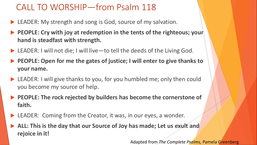### CALL TO WORSHIP—from Psalm 118

- ELEADER: My strength and song is God, source of my salvation.
- **PEOPLE: Cry with joy at redemption in the tents of the righteous; your hand is steadfast with strength.**
- ▶ LEADER: I will not die; I will live—to tell the deeds of the Living God.
- ▶ PEOPLE: Open for me the gates of justice; I will enter to give thanks to **your name.**
- EXADER: I will give thanks to you, for you humbled me; only then could you become my source of help.
- **PEOPLE: The rock rejected by builders has become the cornerstone of faith.**
- LEADER: Coming from the Creator, it was, in our eyes, a wonder.
- **ALL: This is the day that our Source of Joy has made; Let us exult and rejoice in it!**

Adapted from *The Complete Psalms,* Pamela Greenberg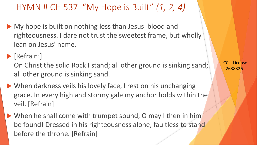### HYMN # CH 537 "My Hope is Built" *(1, 2, 4)*

- My hope is built on nothing less than Jesus' blood and righteousness. I dare not trust the sweetest frame, but wholly lean on Jesus' name.
- [Refrain:]

On Christ the solid Rock I stand; all other ground is sinking sand; all other ground is sinking sand.

- ▶ When darkness veils his lovely face, I rest on his unchanging grace. In every high and stormy gale my anchor holds within the veil. [Refrain]
- When he shall come with trumpet sound, O may I then in him be found! Dressed in his righteousness alone, faultless to stand before the throne. [Refrain]

CCLI License #2638326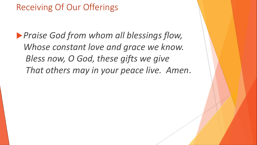### Receiving Of Our Offerings

*Praise God from whom all blessings flow, Whose constant love and grace we know. Bless now, O God, these gifts we give That others may in your peace live. Amen*.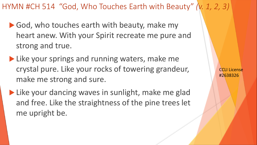HYMN #CH 514 "God, Who Touches Earth with Beauty" *(v. 1, 2, 3)*

- God, who touches earth with beauty, make my heart anew. With your Spirit recreate me pure and strong and true.
- Like your springs and running waters, make me crystal pure. Like your rocks of towering grandeur, make me strong and sure.
- Like your dancing waves in sunlight, make me glad and free. Like the straightness of the pine trees let me upright be.

CCLI License #2638326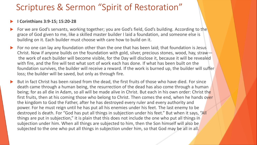### Scriptures & Sermon "Spirit of Restoration"

#### **I Corinthians 3:9-15; 15:20-28**

- For we are God's servants, working together; you are God's field, God's building. According to the grace of God given to me, like a skilled master builder I laid a foundation, and someone else is building on it. Each builder must choose with care how to build on it.
- For no one can lay any foundation other than the one that has been laid; that foundation is Jesus Christ. Now if anyone builds on the foundation with gold, silver, precious stones, wood, hay, straw the work of each builder will become visible, for the Day will disclose it, because it will be revealed with fire, and the fire will test what sort of work each has done. If what has been built on the foundation survives, the builder will receive a reward. If the work is burned up, the builder will suffer loss; the builder will be saved, but only as through fire.
- But in fact Christ has been raised from the dead, the first fruits of those who have died. For since death came through a human being, the resurrection of the dead has also come through a human being; for as all die in Adam, so all will be made alive in Christ. But each in his own order: Christ the first fruits, then at his coming those who belong to Christ. Then comes the end, when he hands over the kingdom to God the Father, after he has destroyed every ruler and every authority and power. For he must reign until he has put all his enemies under his feet. The last enemy to be destroyed is death. For "God has put all things in subjection under his feet." But when it says, "All things are put in subjection," it is plain that this does not include the one who put all things in subjection under him. When all things are subjected to him, then the Son himself will also be subjected to the one who put all things in subjection under him, so that God may be all in all.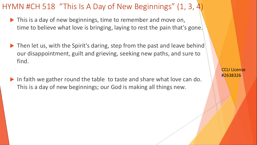### HYMN #CH 518 "This Is A Day of New Beginnings" (1, 3, 4)

- ▶ This is a day of new beginnings, time to remember and move on, time to believe what love is bringing, laying to rest the pain that's gone.
- Then let us, with the Spirit's daring, step from the past and leave behind our disappointment, guilt and grieving, seeking new paths, and sure to find.
- In faith we gather round the table to taste and share what love can do. This is a day of new beginnings; our God is making all things new.

CCLI License #2638326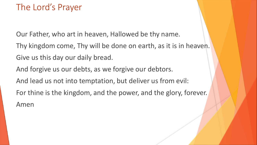### The Lord's Prayer

Our Father, who art in heaven, Hallowed be thy name.

Thy kingdom come, Thy will be done on earth, as it is in heaven. Give us this day our daily bread.

And forgive us our debts, as we forgive our debtors.

And lead us not into temptation, but deliver us from evil:

For thine is the kingdom, and the power, and the glory, forever. Amen